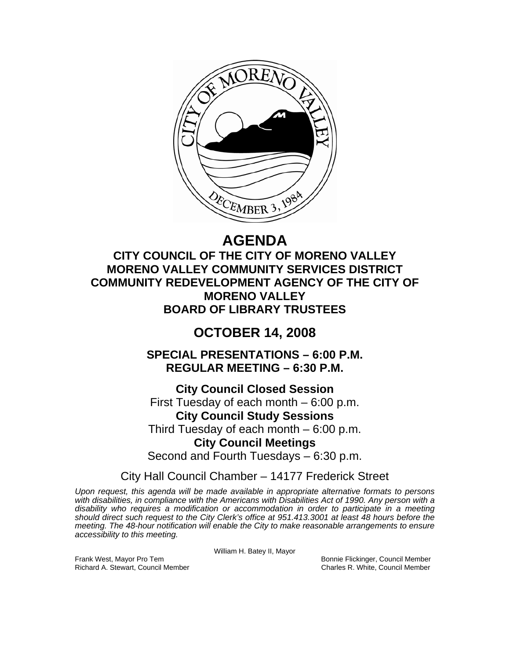

# **AGENDA**

**CITY COUNCIL OF THE CITY OF MORENO VALLEY MORENO VALLEY COMMUNITY SERVICES DISTRICT COMMUNITY REDEVELOPMENT AGENCY OF THE CITY OF MORENO VALLEY BOARD OF LIBRARY TRUSTEES** 

# **OCTOBER 14, 2008**

**SPECIAL PRESENTATIONS – 6:00 P.M. REGULAR MEETING – 6:30 P.M.** 

**City Council Closed Session**  First Tuesday of each month – 6:00 p.m. **City Council Study Sessions**  Third Tuesday of each month – 6:00 p.m. **City Council Meetings**  Second and Fourth Tuesdays – 6:30 p.m.

City Hall Council Chamber – 14177 Frederick Street

*Upon request, this agenda will be made available in appropriate alternative formats to persons with disabilities, in compliance with the Americans with Disabilities Act of 1990. Any person with a disability who requires a modification or accommodation in order to participate in a meeting should direct such request to the City Clerk's office at 951.413.3001 at least 48 hours before the meeting. The 48-hour notification will enable the City to make reasonable arrangements to ensure accessibility to this meeting.* 

William H. Batey II, Mayor

Frank West, Mayor Pro Tem Bonnie Flickinger, Council Member Richard A. Stewart, Council Member Charles R. White, Council Member Charles R. White, Council Member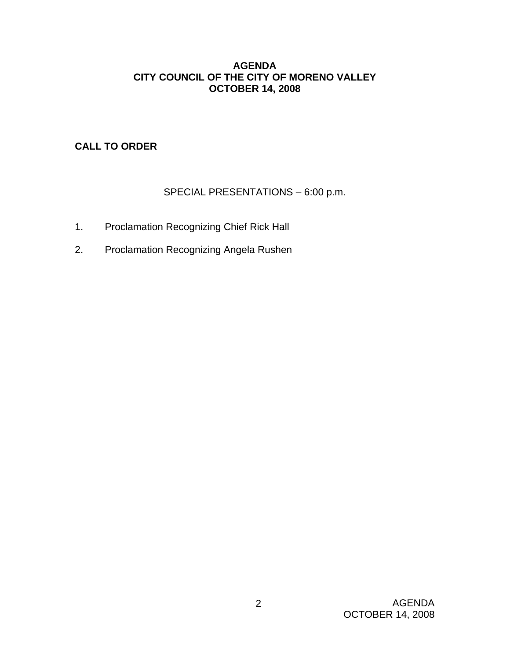#### **AGENDA CITY COUNCIL OF THE CITY OF MORENO VALLEY OCTOBER 14, 2008**

# **CALL TO ORDER**

# SPECIAL PRESENTATIONS – 6:00 p.m.

- 1. Proclamation Recognizing Chief Rick Hall
- 2. Proclamation Recognizing Angela Rushen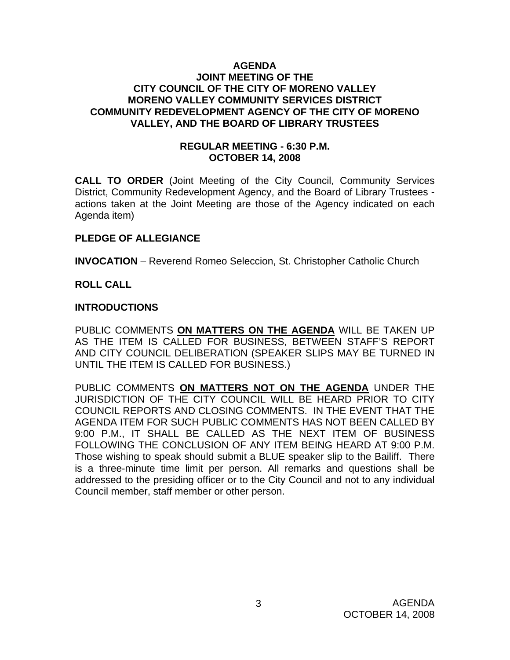#### **AGENDA JOINT MEETING OF THE CITY COUNCIL OF THE CITY OF MORENO VALLEY MORENO VALLEY COMMUNITY SERVICES DISTRICT COMMUNITY REDEVELOPMENT AGENCY OF THE CITY OF MORENO VALLEY, AND THE BOARD OF LIBRARY TRUSTEES**

#### **REGULAR MEETING - 6:30 P.M. OCTOBER 14, 2008**

**CALL TO ORDER** (Joint Meeting of the City Council, Community Services District, Community Redevelopment Agency, and the Board of Library Trustees actions taken at the Joint Meeting are those of the Agency indicated on each Agenda item)

#### **PLEDGE OF ALLEGIANCE**

**INVOCATION** – Reverend Romeo Seleccion, St. Christopher Catholic Church

#### **ROLL CALL**

#### **INTRODUCTIONS**

PUBLIC COMMENTS **ON MATTERS ON THE AGENDA** WILL BE TAKEN UP AS THE ITEM IS CALLED FOR BUSINESS, BETWEEN STAFF'S REPORT AND CITY COUNCIL DELIBERATION (SPEAKER SLIPS MAY BE TURNED IN UNTIL THE ITEM IS CALLED FOR BUSINESS.)

PUBLIC COMMENTS **ON MATTERS NOT ON THE AGENDA** UNDER THE JURISDICTION OF THE CITY COUNCIL WILL BE HEARD PRIOR TO CITY COUNCIL REPORTS AND CLOSING COMMENTS. IN THE EVENT THAT THE AGENDA ITEM FOR SUCH PUBLIC COMMENTS HAS NOT BEEN CALLED BY 9:00 P.M., IT SHALL BE CALLED AS THE NEXT ITEM OF BUSINESS FOLLOWING THE CONCLUSION OF ANY ITEM BEING HEARD AT 9:00 P.M. Those wishing to speak should submit a BLUE speaker slip to the Bailiff. There is a three-minute time limit per person. All remarks and questions shall be addressed to the presiding officer or to the City Council and not to any individual Council member, staff member or other person.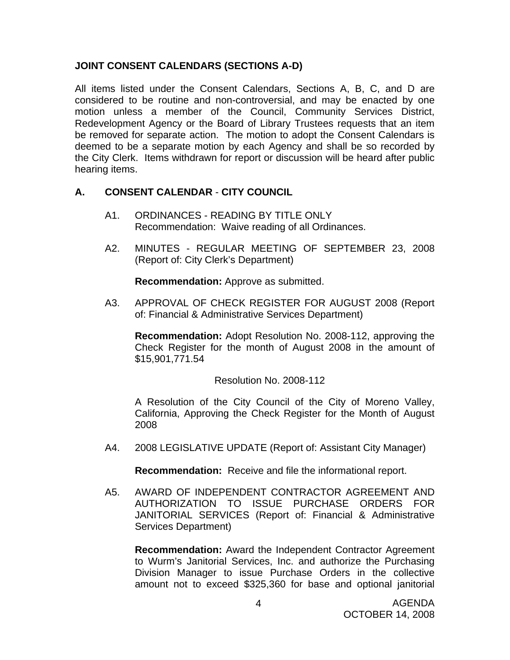#### **JOINT CONSENT CALENDARS (SECTIONS A-D)**

All items listed under the Consent Calendars, Sections A, B, C, and D are considered to be routine and non-controversial, and may be enacted by one motion unless a member of the Council, Community Services District, Redevelopment Agency or the Board of Library Trustees requests that an item be removed for separate action. The motion to adopt the Consent Calendars is deemed to be a separate motion by each Agency and shall be so recorded by the City Clerk. Items withdrawn for report or discussion will be heard after public hearing items.

# **A. CONSENT CALENDAR** - **CITY COUNCIL**

- A1. ORDINANCES READING BY TITLE ONLY Recommendation: Waive reading of all Ordinances.
- A2. MINUTES REGULAR MEETING OF SEPTEMBER 23, 2008 (Report of: City Clerk's Department)

**Recommendation:** Approve as submitted.

A3. APPROVAL OF CHECK REGISTER FOR AUGUST 2008 (Report of: Financial & Administrative Services Department)

**Recommendation:** Adopt Resolution No. 2008-112, approving the Check Register for the month of August 2008 in the amount of \$15,901,771.54

Resolution No. 2008-112

 A Resolution of the City Council of the City of Moreno Valley, California, Approving the Check Register for the Month of August 2008

A4. 2008 LEGISLATIVE UPDATE (Report of: Assistant City Manager)

**Recommendation:** Receive and file the informational report.

A5. AWARD OF INDEPENDENT CONTRACTOR AGREEMENT AND AUTHORIZATION TO ISSUE PURCHASE ORDERS FOR JANITORIAL SERVICES (Report of: Financial & Administrative Services Department)

 **Recommendation:** Award the Independent Contractor Agreement to Wurm's Janitorial Services, Inc. and authorize the Purchasing Division Manager to issue Purchase Orders in the collective amount not to exceed \$325,360 for base and optional janitorial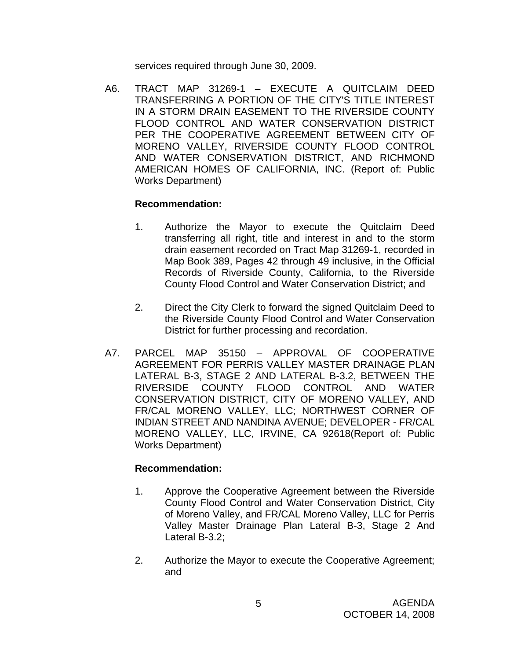services required through June 30, 2009.

A6. TRACT MAP 31269-1 – EXECUTE A QUITCLAIM DEED TRANSFERRING A PORTION OF THE CITY'S TITLE INTEREST IN A STORM DRAIN EASEMENT TO THE RIVERSIDE COUNTY FLOOD CONTROL AND WATER CONSERVATION DISTRICT PER THE COOPERATIVE AGREEMENT BETWEEN CITY OF MORENO VALLEY, RIVERSIDE COUNTY FLOOD CONTROL AND WATER CONSERVATION DISTRICT, AND RICHMOND AMERICAN HOMES OF CALIFORNIA, INC. (Report of: Public Works Department)

#### **Recommendation:**

- 1. Authorize the Mayor to execute the Quitclaim Deed transferring all right, title and interest in and to the storm drain easement recorded on Tract Map 31269-1, recorded in Map Book 389, Pages 42 through 49 inclusive, in the Official Records of Riverside County, California, to the Riverside County Flood Control and Water Conservation District; and
- 2. Direct the City Clerk to forward the signed Quitclaim Deed to the Riverside County Flood Control and Water Conservation District for further processing and recordation.
- A7. PARCEL MAP 35150 APPROVAL OF COOPERATIVE AGREEMENT FOR PERRIS VALLEY MASTER DRAINAGE PLAN LATERAL B-3, STAGE 2 AND LATERAL B-3.2, BETWEEN THE RIVERSIDE COUNTY FLOOD CONTROL AND WATER CONSERVATION DISTRICT, CITY OF MORENO VALLEY, AND FR/CAL MORENO VALLEY, LLC; NORTHWEST CORNER OF INDIAN STREET AND NANDINA AVENUE; DEVELOPER - FR/CAL MORENO VALLEY, LLC, IRVINE, CA 92618(Report of: Public Works Department)

- 1. Approve the Cooperative Agreement between the Riverside County Flood Control and Water Conservation District, City of Moreno Valley, and FR/CAL Moreno Valley, LLC for Perris Valley Master Drainage Plan Lateral B-3, Stage 2 And Lateral B-3.2;
- 2. Authorize the Mayor to execute the Cooperative Agreement; and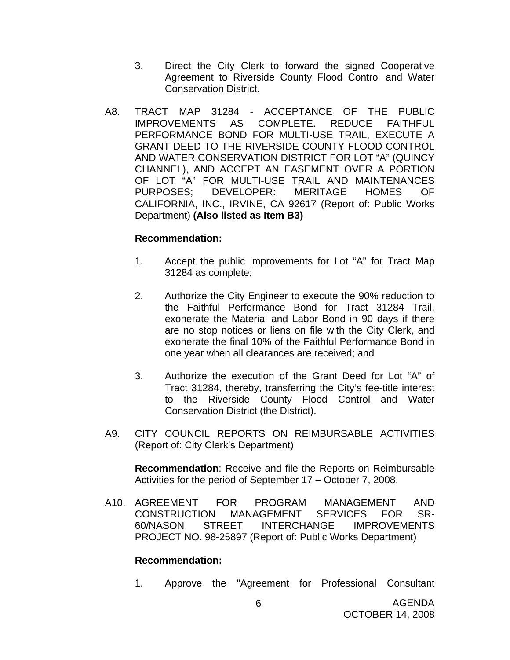- 3. Direct the City Clerk to forward the signed Cooperative Agreement to Riverside County Flood Control and Water Conservation District.
- A8. TRACT MAP 31284 ACCEPTANCE OF THE PUBLIC IMPROVEMENTS AS COMPLETE. REDUCE FAITHFUL PERFORMANCE BOND FOR MULTI-USE TRAIL, EXECUTE A GRANT DEED TO THE RIVERSIDE COUNTY FLOOD CONTROL AND WATER CONSERVATION DISTRICT FOR LOT "A" (QUINCY CHANNEL), AND ACCEPT AN EASEMENT OVER A PORTION OF LOT "A" FOR MULTI-USE TRAIL AND MAINTENANCES PURPOSES; DEVELOPER: MERITAGE HOMES OF CALIFORNIA, INC., IRVINE, CA 92617 (Report of: Public Works Department) **(Also listed as Item B3)**

#### **Recommendation:**

- 1. Accept the public improvements for Lot "A" for Tract Map 31284 as complete;
- 2. Authorize the City Engineer to execute the 90% reduction to the Faithful Performance Bond for Tract 31284 Trail, exonerate the Material and Labor Bond in 90 days if there are no stop notices or liens on file with the City Clerk, and exonerate the final 10% of the Faithful Performance Bond in one year when all clearances are received; and
- 3. Authorize the execution of the Grant Deed for Lot "A" of Tract 31284, thereby, transferring the City's fee-title interest to the Riverside County Flood Control and Water Conservation District (the District).
- A9. CITY COUNCIL REPORTS ON REIMBURSABLE ACTIVITIES (Report of: City Clerk's Department)

**Recommendation**: Receive and file the Reports on Reimbursable Activities for the period of September 17 – October 7, 2008.

A10. AGREEMENT FOR PROGRAM MANAGEMENT AND CONSTRUCTION MANAGEMENT SERVICES FOR SR-60/NASON STREET INTERCHANGE IMPROVEMENTS PROJECT NO. 98-25897 (Report of: Public Works Department)

#### **Recommendation:**

1. Approve the "Agreement for Professional Consultant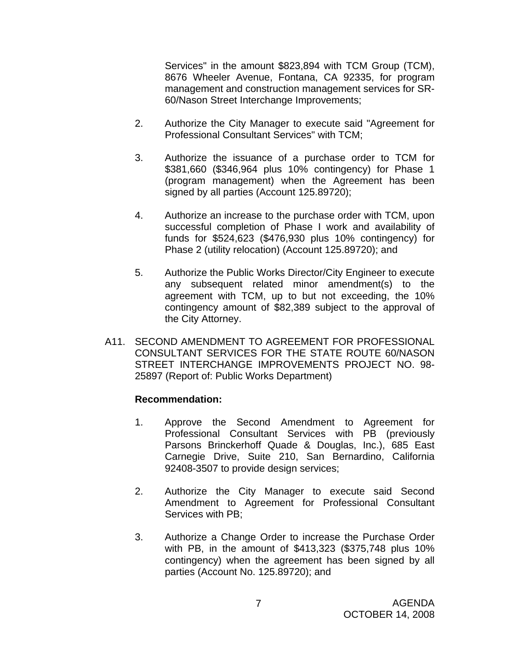Services" in the amount \$823,894 with TCM Group (TCM), 8676 Wheeler Avenue, Fontana, CA 92335, for program management and construction management services for SR-60/Nason Street Interchange Improvements;

- 2. Authorize the City Manager to execute said "Agreement for Professional Consultant Services" with TCM;
- 3. Authorize the issuance of a purchase order to TCM for \$381,660 (\$346,964 plus 10% contingency) for Phase 1 (program management) when the Agreement has been signed by all parties (Account 125.89720);
- 4. Authorize an increase to the purchase order with TCM, upon successful completion of Phase I work and availability of funds for \$524,623 (\$476,930 plus 10% contingency) for Phase 2 (utility relocation) (Account 125.89720); and
- 5. Authorize the Public Works Director/City Engineer to execute any subsequent related minor amendment(s) to the agreement with TCM, up to but not exceeding, the 10% contingency amount of \$82,389 subject to the approval of the City Attorney.
- A11. SECOND AMENDMENT TO AGREEMENT FOR PROFESSIONAL CONSULTANT SERVICES FOR THE STATE ROUTE 60/NASON STREET INTERCHANGE IMPROVEMENTS PROJECT NO. 98- 25897 (Report of: Public Works Department)

- 1. Approve the Second Amendment to Agreement for Professional Consultant Services with PB (previously Parsons Brinckerhoff Quade & Douglas, Inc.), 685 East Carnegie Drive, Suite 210, San Bernardino, California 92408-3507 to provide design services;
- 2. Authorize the City Manager to execute said Second Amendment to Agreement for Professional Consultant Services with PB;
- 3. Authorize a Change Order to increase the Purchase Order with PB, in the amount of \$413,323 (\$375,748 plus 10% contingency) when the agreement has been signed by all parties (Account No. 125.89720); and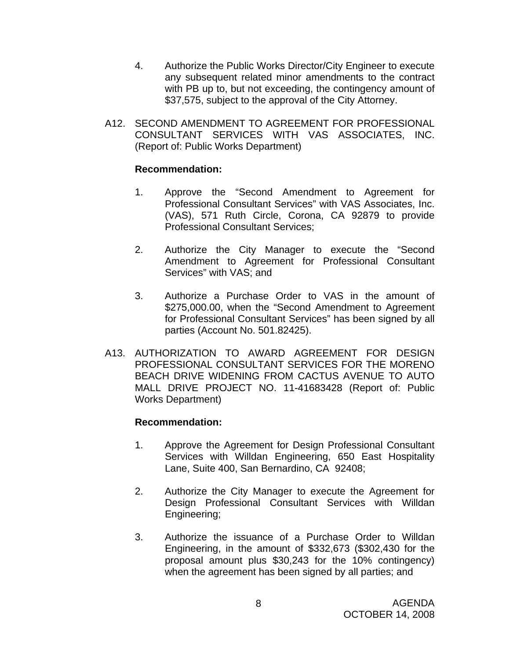- 4. Authorize the Public Works Director/City Engineer to execute any subsequent related minor amendments to the contract with PB up to, but not exceeding, the contingency amount of \$37,575, subject to the approval of the City Attorney.
- A12. SECOND AMENDMENT TO AGREEMENT FOR PROFESSIONAL CONSULTANT SERVICES WITH VAS ASSOCIATES, INC. (Report of: Public Works Department)

#### **Recommendation:**

- 1. Approve the "Second Amendment to Agreement for Professional Consultant Services" with VAS Associates, Inc. (VAS), 571 Ruth Circle, Corona, CA 92879 to provide Professional Consultant Services;
- 2. Authorize the City Manager to execute the "Second Amendment to Agreement for Professional Consultant Services" with VAS; and
- 3. Authorize a Purchase Order to VAS in the amount of \$275,000.00, when the "Second Amendment to Agreement for Professional Consultant Services" has been signed by all parties (Account No. 501.82425).
- A13. AUTHORIZATION TO AWARD AGREEMENT FOR DESIGN PROFESSIONAL CONSULTANT SERVICES FOR THE MORENO BEACH DRIVE WIDENING FROM CACTUS AVENUE TO AUTO MALL DRIVE PROJECT NO. 11-41683428 (Report of: Public Works Department)

- 1. Approve the Agreement for Design Professional Consultant Services with Willdan Engineering, 650 East Hospitality Lane, Suite 400, San Bernardino, CA 92408;
- 2. Authorize the City Manager to execute the Agreement for Design Professional Consultant Services with Willdan Engineering;
- 3. Authorize the issuance of a Purchase Order to Willdan Engineering, in the amount of \$332,673 (\$302,430 for the proposal amount plus \$30,243 for the 10% contingency) when the agreement has been signed by all parties; and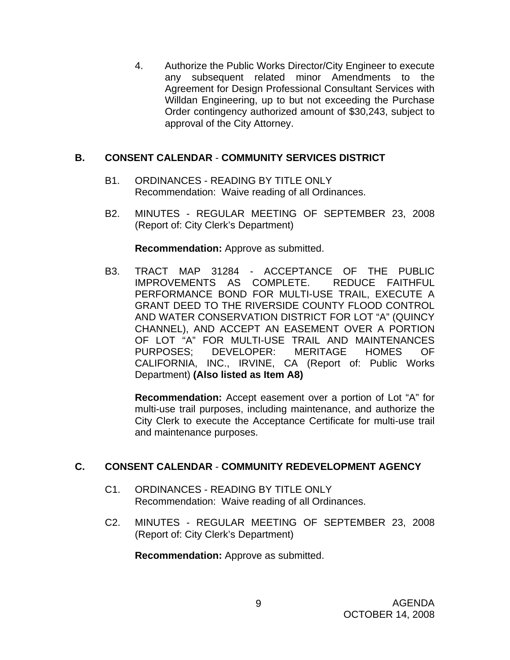4. Authorize the Public Works Director/City Engineer to execute any subsequent related minor Amendments to the Agreement for Design Professional Consultant Services with Willdan Engineering, up to but not exceeding the Purchase Order contingency authorized amount of \$30,243, subject to approval of the City Attorney.

# **B. CONSENT CALENDAR** - **COMMUNITY SERVICES DISTRICT**

- B1. ORDINANCES READING BY TITLE ONLY Recommendation: Waive reading of all Ordinances.
- B2. MINUTES REGULAR MEETING OF SEPTEMBER 23, 2008 (Report of: City Clerk's Department)

**Recommendation:** Approve as submitted.

B3. TRACT MAP 31284 - ACCEPTANCE OF THE PUBLIC IMPROVEMENTS AS COMPLETE. REDUCE FAITHFUL PERFORMANCE BOND FOR MULTI-USE TRAIL, EXECUTE A GRANT DEED TO THE RIVERSIDE COUNTY FLOOD CONTROL AND WATER CONSERVATION DISTRICT FOR LOT "A" (QUINCY CHANNEL), AND ACCEPT AN EASEMENT OVER A PORTION OF LOT "A" FOR MULTI-USE TRAIL AND MAINTENANCES PURPOSES; DEVELOPER: MERITAGE HOMES OF CALIFORNIA, INC., IRVINE, CA (Report of: Public Works Department) **(Also listed as Item A8)** 

**Recommendation:** Accept easement over a portion of Lot "A" for multi-use trail purposes, including maintenance, and authorize the City Clerk to execute the Acceptance Certificate for multi-use trail and maintenance purposes.

# **C. CONSENT CALENDAR** - **COMMUNITY REDEVELOPMENT AGENCY**

- C1. ORDINANCES READING BY TITLE ONLY Recommendation: Waive reading of all Ordinances.
- C2. MINUTES REGULAR MEETING OF SEPTEMBER 23, 2008 (Report of: City Clerk's Department)

**Recommendation:** Approve as submitted.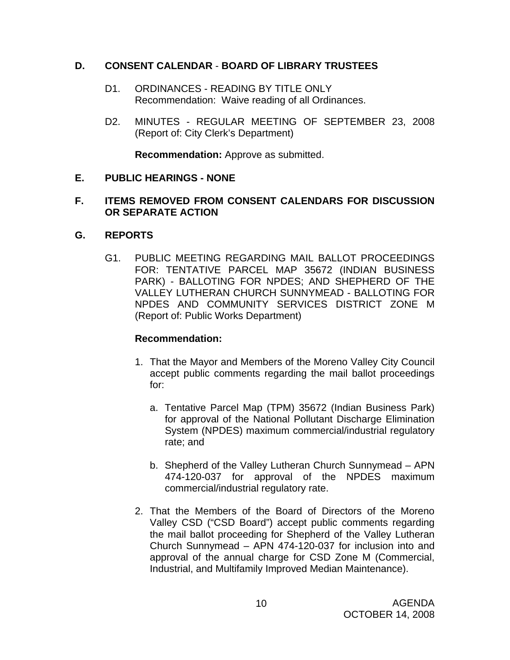#### **D. CONSENT CALENDAR** - **BOARD OF LIBRARY TRUSTEES**

- D1. ORDINANCES READING BY TITLE ONLY Recommendation: Waive reading of all Ordinances.
- D2. MINUTES REGULAR MEETING OF SEPTEMBER 23, 2008 (Report of: City Clerk's Department)

**Recommendation:** Approve as submitted.

#### **E. PUBLIC HEARINGS - NONE**

#### **F. ITEMS REMOVED FROM CONSENT CALENDARS FOR DISCUSSION OR SEPARATE ACTION**

#### **G. REPORTS**

G1. PUBLIC MEETING REGARDING MAIL BALLOT PROCEEDINGS FOR: TENTATIVE PARCEL MAP 35672 (INDIAN BUSINESS PARK) - BALLOTING FOR NPDES; AND SHEPHERD OF THE VALLEY LUTHERAN CHURCH SUNNYMEAD - BALLOTING FOR NPDES AND COMMUNITY SERVICES DISTRICT ZONE M (Report of: Public Works Department)

- 1. That the Mayor and Members of the Moreno Valley City Council accept public comments regarding the mail ballot proceedings for:
	- a. Tentative Parcel Map (TPM) 35672 (Indian Business Park) for approval of the National Pollutant Discharge Elimination System (NPDES) maximum commercial/industrial regulatory rate; and
	- b. Shepherd of the Valley Lutheran Church Sunnymead APN 474-120-037 for approval of the NPDES maximum commercial/industrial regulatory rate.
- 2. That the Members of the Board of Directors of the Moreno Valley CSD ("CSD Board") accept public comments regarding the mail ballot proceeding for Shepherd of the Valley Lutheran Church Sunnymead – APN 474-120-037 for inclusion into and approval of the annual charge for CSD Zone M (Commercial, Industrial, and Multifamily Improved Median Maintenance).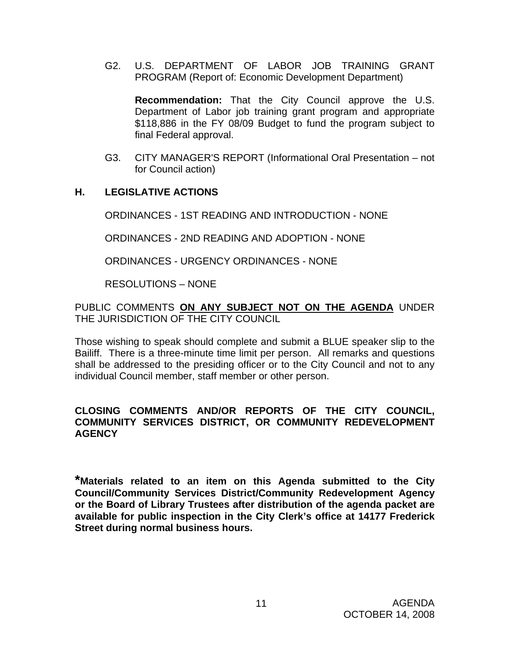G2. U.S. DEPARTMENT OF LABOR JOB TRAINING GRANT PROGRAM (Report of: Economic Development Department)

**Recommendation:** That the City Council approve the U.S. Department of Labor job training grant program and appropriate \$118,886 in the FY 08/09 Budget to fund the program subject to final Federal approval.

G3. CITY MANAGER'S REPORT (Informational Oral Presentation – not for Council action)

#### **H. LEGISLATIVE ACTIONS**

ORDINANCES - 1ST READING AND INTRODUCTION - NONE

ORDINANCES - 2ND READING AND ADOPTION - NONE

ORDINANCES - URGENCY ORDINANCES - NONE

RESOLUTIONS – NONE

PUBLIC COMMENTS **ON ANY SUBJECT NOT ON THE AGENDA** UNDER THE JURISDICTION OF THE CITY COUNCIL

Those wishing to speak should complete and submit a BLUE speaker slip to the Bailiff. There is a three-minute time limit per person. All remarks and questions shall be addressed to the presiding officer or to the City Council and not to any individual Council member, staff member or other person.

#### **CLOSING COMMENTS AND/OR REPORTS OF THE CITY COUNCIL, COMMUNITY SERVICES DISTRICT, OR COMMUNITY REDEVELOPMENT AGENCY**

**\*Materials related to an item on this Agenda submitted to the City Council/Community Services District/Community Redevelopment Agency or the Board of Library Trustees after distribution of the agenda packet are available for public inspection in the City Clerk's office at 14177 Frederick Street during normal business hours.**